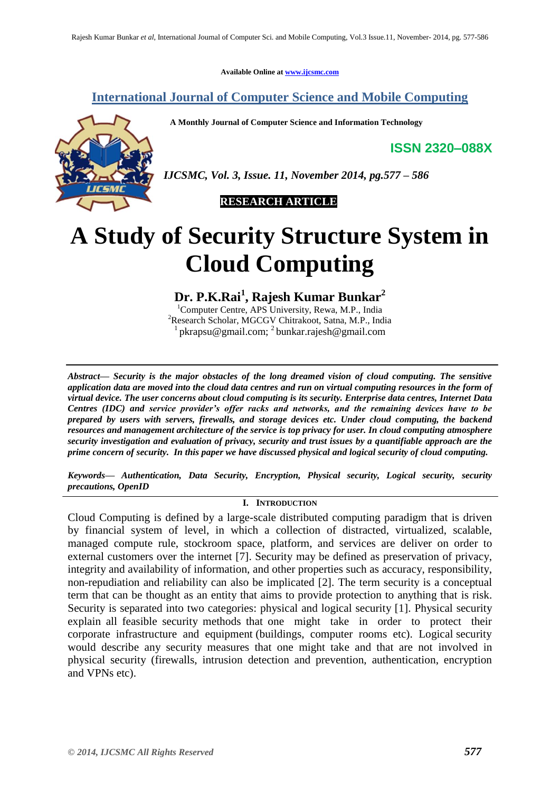**Available Online at [www.ijcsmc.com](http://www.ijcsmc.com/)**

# **International Journal of Computer Science and Mobile Computing**

 **A Monthly Journal of Computer Science and Information Technology**

**ISSN 2320–088X**



*IJCSMC, Vol. 3, Issue. 11, November 2014, pg.577 – 586*

 **RESEARCH ARTICLE**

# **A Study of Security Structure System in Cloud Computing**

**Dr. P.K.Rai<sup>1</sup> , Rajesh Kumar Bunkar<sup>2</sup>**

<sup>1</sup>Computer Centre, APS University, Rewa, M.P., India <sup>2</sup>Research Scholar, MGCGV Chitrakoot, Satna, M.P., India <sup>1</sup> pkrapsu@gmail.com; <sup>2</sup> bunkar.rajesh@gmail.com

*Abstract— Security is the major obstacles of the long dreamed vision of cloud computing. The sensitive application data are moved into the cloud data centres and run on virtual computing resources in the form of virtual device. The user concerns about cloud computing is its security. Enterprise data centres, Internet Data Centres (IDC) and service provider's offer racks and networks, and the remaining devices have to be prepared by users with servers, firewalls, and storage devices etc. Under cloud computing, the backend resources and management architecture of the service is top privacy for user. In cloud computing atmosphere security investigation and evaluation of privacy, security and trust issues by a quantifiable approach are the prime concern of security. In this paper we have discussed physical and logical security of cloud computing.*

*Keywords— Authentication, Data Security, Encryption, Physical security, Logical security, security precautions, OpenID*

### **I. INTRODUCTION**

Cloud Computing is defined by a large-scale distributed computing paradigm that is driven by financial system of level, in which a collection of distracted, virtualized, scalable, managed compute rule, stockroom space, platform, and services are deliver on order to external customers over the internet [7]. Security may be defined as preservation of privacy, integrity and availability of information, and other properties such as accuracy, responsibility, non-repudiation and reliability can also be implicated [2]. The term security is a conceptual term that can be thought as an entity that aims to provide protection to anything that is risk. Security is separated into two categories: physical and logical security [1]. Physical security explain all feasible security methods that one might take in order to protect their corporate infrastructure and equipment (buildings, computer rooms etc). Logical security would describe any security measures that one might take and that are not involved in physical security (firewalls, intrusion detection and prevention, authentication, encryption and VPNs etc).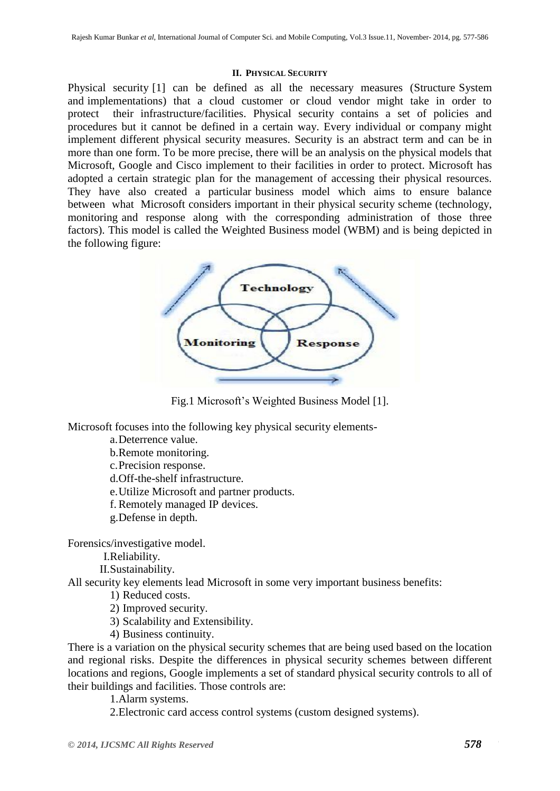#### **II. PHYSICAL SECURITY**

Physical security [1] can be defined as all the necessary measures (Structure System and implementations) that a cloud customer or cloud vendor might take in order to protect their infrastructure/facilities. Physical security contains a set of policies and procedures but it cannot be defined in a certain way. Every individual or company might implement different physical security measures. Security is an abstract term and can be in more than one form. To be more precise, there will be an analysis on the physical models that Microsoft, Google and Cisco implement to their facilities in order to protect. Microsoft has adopted a certain strategic plan for the management of accessing their physical resources. They have also created a particular business model which aims to ensure balance between what Microsoft considers important in their physical security scheme (technology, monitoring and response along with the corresponding administration of those three factors). This model is called the Weighted Business model (WBM) and is being depicted in the following figure:



Fig.1 Microsoft's Weighted Business Model [1].

Microsoft focuses into the following key physical security elements-

a.Deterrence value.

b.Remote monitoring.

c.Precision response.

d.Off-the-shelf infrastructure.

e.Utilize Microsoft and partner products.

f. Remotely managed IP devices.

g.Defense in depth.

Forensics/investigative model.

I.Reliability.

II.Sustainability.

All security key elements lead Microsoft in some very important business benefits:

1) Reduced costs.

2) Improved security.

3) Scalability and Extensibility.

4) Business continuity.

There is a variation on the physical security schemes that are being used based on the location and regional risks. Despite the differences in physical security schemes between different locations and regions, Google implements a set of standard physical security controls to all of their buildings and facilities. Those controls are:

1.Alarm systems.

2.Electronic card access control systems (custom designed systems).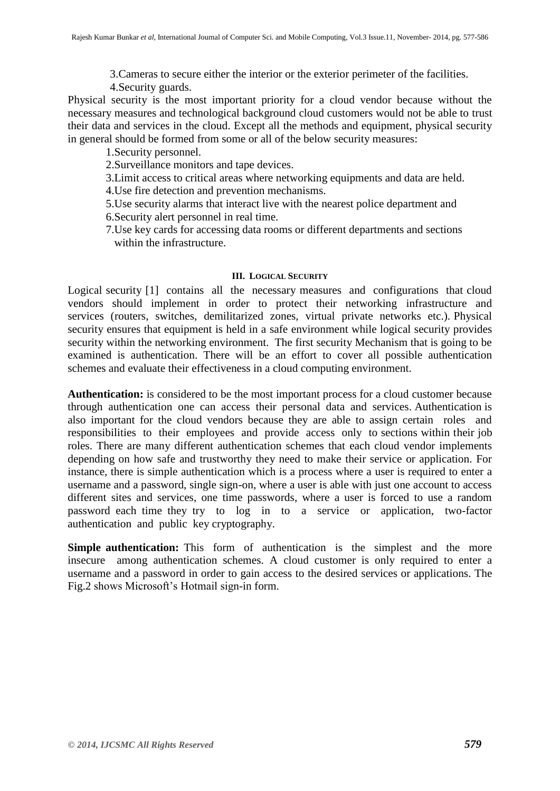3.Cameras to secure either the interior or the exterior perimeter of the facilities.

4.Security guards.

Physical security is the most important priority for a cloud vendor because without the necessary measures and technological background cloud customers would not be able to trust their data and services in the cloud. Except all the methods and equipment, physical security in general should be formed from some or all of the below security measures:

1.Security personnel.

2.Surveillance monitors and tape devices.

3.Limit access to critical areas where networking equipments and data are held.

4.Use fire detection and prevention mechanisms.

5.Use security alarms that interact live with the nearest police department and

6.Security alert personnel in real time.

7.Use key cards for accessing data rooms or different departments and sections within the infrastructure.

## **III. LOGICAL SECURITY**

Logical security [1] contains all the necessary measures and configurations that cloud vendors should implement in order to protect their networking infrastructure and services (routers, switches, demilitarized zones, virtual private networks etc.). Physical security ensures that equipment is held in a safe environment while logical security provides security within the networking environment. The first security Mechanism that is going to be examined is authentication. There will be an effort to cover all possible authentication schemes and evaluate their effectiveness in a cloud computing environment.

**Authentication:** is considered to be the most important process for a cloud customer because through authentication one can access their personal data and services. Authentication is also important for the cloud vendors because they are able to assign certain roles and responsibilities to their employees and provide access only to sections within their job roles. There are many different authentication schemes that each cloud vendor implements depending on how safe and trustworthy they need to make their service or application. For instance, there is simple authentication which is a process where a user is required to enter a username and a password, single sign-on, where a user is able with just one account to access different sites and services, one time passwords, where a user is forced to use a random password each time they try to log in to a service or application, two-factor authentication and public key cryptography.

**Simple authentication:** This form of authentication is the simplest and the more insecure among authentication schemes. A cloud customer is only required to enter a username and a password in order to gain access to the desired services or applications. The Fig.2 shows Microsoft's Hotmail sign-in form.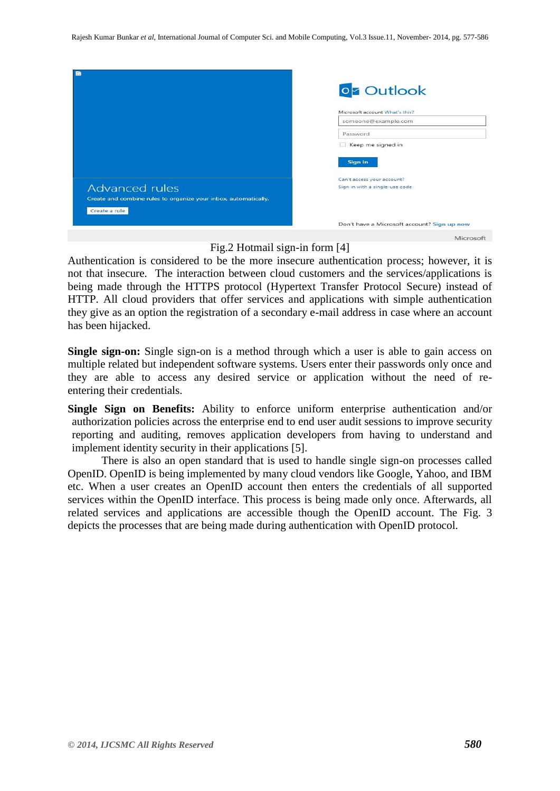| 퍊                                                               |                                             |
|-----------------------------------------------------------------|---------------------------------------------|
|                                                                 | <b>oz</b> Outlook                           |
|                                                                 | Microsoft account What's this?              |
|                                                                 | someone@example.com                         |
|                                                                 | Password                                    |
|                                                                 | Keep me signed in                           |
|                                                                 | Sign in                                     |
|                                                                 | Can't access your account?                  |
| <b>Advanced rules</b>                                           | Sign in with a single-use code              |
| Create and combine rules to organize your inbox, automatically. |                                             |
| Create a rule                                                   |                                             |
|                                                                 | Don't have a Microsoft account? Sign up now |
|                                                                 | Microsoft                                   |

## Fig.2 Hotmail sign-in form [4]

Authentication is considered to be the more insecure authentication process; however, it is not that insecure. The interaction between cloud customers and the services/applications is being made through the HTTPS protocol (Hypertext Transfer Protocol Secure) instead of HTTP. All cloud providers that offer services and applications with simple authentication they give as an option the registration of a secondary e-mail address in case where an account has been hijacked.

**Single sign-on:** Single sign-on is a method through which a user is able to gain access on multiple related but independent software systems. Users enter their passwords only once and they are able to access any desired service or application without the need of reentering their credentials.

**Single Sign on Benefits:** Ability to enforce uniform enterprise authentication and/or authorization policies across the enterprise end to end user audit sessions to improve security reporting and auditing, removes application developers from having to understand and implement identity security in their applications [5].

There is also an open standard that is used to handle single sign-on processes called OpenID. OpenID is being implemented by many cloud vendors like Google, Yahoo, and IBM etc. When a user creates an OpenID account then enters the credentials of all supported services within the OpenID interface. This process is being made only once. Afterwards, all related services and applications are accessible though the OpenID account. The Fig. 3 depicts the processes that are being made during authentication with OpenID protocol.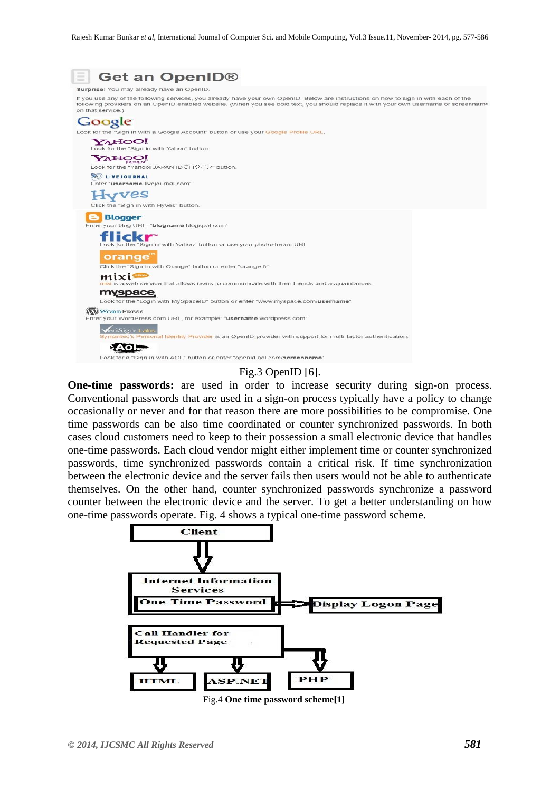

#### Fig.3 OpenID [6].

**One-time passwords:** are used in order to increase security during sign-on process. Conventional passwords that are used in a sign-on process typically have a policy to change occasionally or never and for that reason there are more possibilities to be compromise. One time passwords can be also time coordinated or counter synchronized passwords. In both cases cloud customers need to keep to their possession a small electronic device that handles one-time passwords. Each cloud vendor might either implement time or counter synchronized passwords, time synchronized passwords contain a critical risk. If time synchronization between the electronic device and the server fails then users would not be able to authenticate themselves. On the other hand, counter synchronized passwords synchronize a password counter between the electronic device and the server. To get a better understanding on how one-time passwords operate. Fig. 4 shows a typical one-time password scheme.

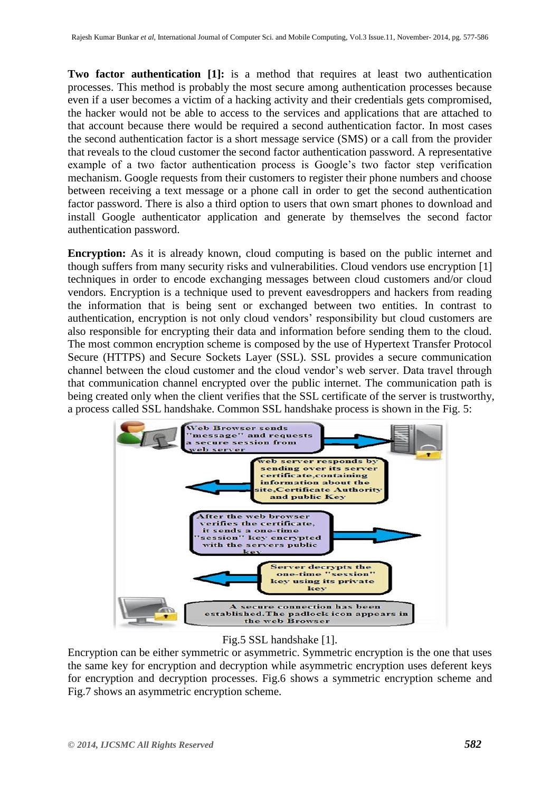**Two factor authentication [1]:** is a method that requires at least two authentication processes. This method is probably the most secure among authentication processes because even if a user becomes a victim of a hacking activity and their credentials gets compromised, the hacker would not be able to access to the services and applications that are attached to that account because there would be required a second authentication factor. In most cases the second authentication factor is a short message service (SMS) or a call from the provider that reveals to the cloud customer the second factor authentication password. A representative example of a two factor authentication process is Google's two factor step verification mechanism. Google requests from their customers to register their phone numbers and choose between receiving a text message or a phone call in order to get the second authentication factor password. There is also a third option to users that own smart phones to download and install Google authenticator application and generate by themselves the second factor authentication password.

**Encryption:** As it is already known, cloud computing is based on the public internet and though suffers from many security risks and vulnerabilities. Cloud vendors use encryption [1] techniques in order to encode exchanging messages between cloud customers and/or cloud vendors. Encryption is a technique used to prevent eavesdroppers and hackers from reading the information that is being sent or exchanged between two entities. In contrast to authentication, encryption is not only cloud vendors' responsibility but cloud customers are also responsible for encrypting their data and information before sending them to the cloud. The most common encryption scheme is composed by the use of Hypertext Transfer Protocol Secure (HTTPS) and Secure Sockets Layer (SSL). SSL provides a secure communication channel between the cloud customer and the cloud vendor's web server. Data travel through that communication channel encrypted over the public internet. The communication path is being created only when the client verifies that the SSL certificate of the server is trustworthy, a process called SSL handshake. Common SSL handshake process is shown in the Fig. 5:



## Fig.5 SSL handshake [1].

Encryption can be either symmetric or asymmetric. Symmetric encryption is the one that uses the same key for encryption and decryption while asymmetric encryption uses deferent keys for encryption and decryption processes. Fig.6 shows a symmetric encryption scheme and Fig.7 shows an asymmetric encryption scheme.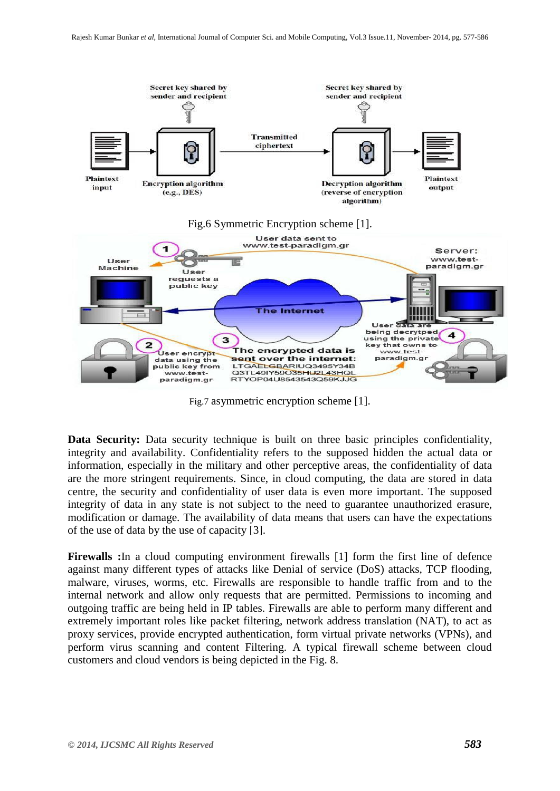

Fig.7 asymmetric encryption scheme [1].

**Data Security:** Data security technique is built on three basic principles confidentiality, integrity and availability. Confidentiality refers to the supposed hidden the actual data or information, especially in the military and other perceptive areas, the confidentiality of data are the more stringent requirements. Since, in cloud computing, the data are stored in data centre, the security and confidentiality of user data is even more important. The supposed integrity of data in any state is not subject to the need to guarantee unauthorized erasure, modification or damage. The availability of data means that users can have the expectations of the use of data by the use of capacity [3].

**Firewalls :**In a cloud computing environment firewalls [1] form the first line of defence against many different types of attacks like Denial of service (DoS) attacks, TCP flooding, malware, viruses, worms, etc. Firewalls are responsible to handle traffic from and to the internal network and allow only requests that are permitted. Permissions to incoming and outgoing traffic are being held in IP tables. Firewalls are able to perform many different and extremely important roles like packet filtering, network address translation (NAT), to act as proxy services, provide encrypted authentication, form virtual private networks (VPNs), and perform virus scanning and content Filtering. A typical firewall scheme between cloud customers and cloud vendors is being depicted in the Fig. 8.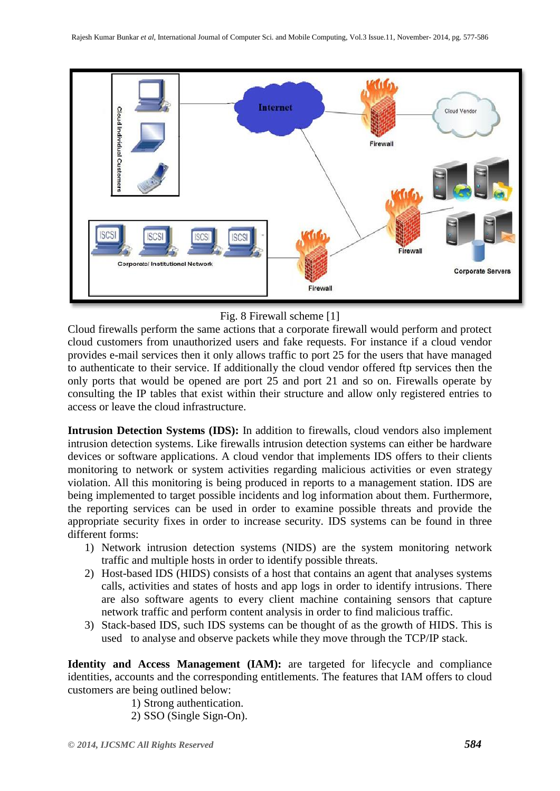

## Fig. 8 Firewall scheme [1]

Cloud firewalls perform the same actions that a corporate firewall would perform and protect cloud customers from unauthorized users and fake requests. For instance if a cloud vendor provides e-mail services then it only allows traffic to port 25 for the users that have managed to authenticate to their service. If additionally the cloud vendor offered ftp services then the only ports that would be opened are port 25 and port 21 and so on. Firewalls operate by consulting the IP tables that exist within their structure and allow only registered entries to access or leave the cloud infrastructure.

**Intrusion Detection Systems (IDS):** In addition to firewalls, cloud vendors also implement intrusion detection systems. Like firewalls intrusion detection systems can either be hardware devices or software applications. A cloud vendor that implements IDS offers to their clients monitoring to network or system activities regarding malicious activities or even strategy violation. All this monitoring is being produced in reports to a management station. IDS are being implemented to target possible incidents and log information about them. Furthermore, the reporting services can be used in order to examine possible threats and provide the appropriate security fixes in order to increase security. IDS systems can be found in three different forms:

- 1) Network intrusion detection systems (NIDS) are the system monitoring network traffic and multiple hosts in order to identify possible threats.
- 2) Host-based IDS (HIDS) consists of a host that contains an agent that analyses systems calls, activities and states of hosts and app logs in order to identify intrusions. There are also software agents to every client machine containing sensors that capture network traffic and perform content analysis in order to find malicious traffic.
- 3) Stack-based IDS, such IDS systems can be thought of as the growth of HIDS. This is used to analyse and observe packets while they move through the TCP/IP stack.

**Identity and Access Management (IAM):** are targeted for lifecycle and compliance identities, accounts and the corresponding entitlements. The features that IAM offers to cloud customers are being outlined below:

1) Strong authentication.

2) SSO (Single Sign-On).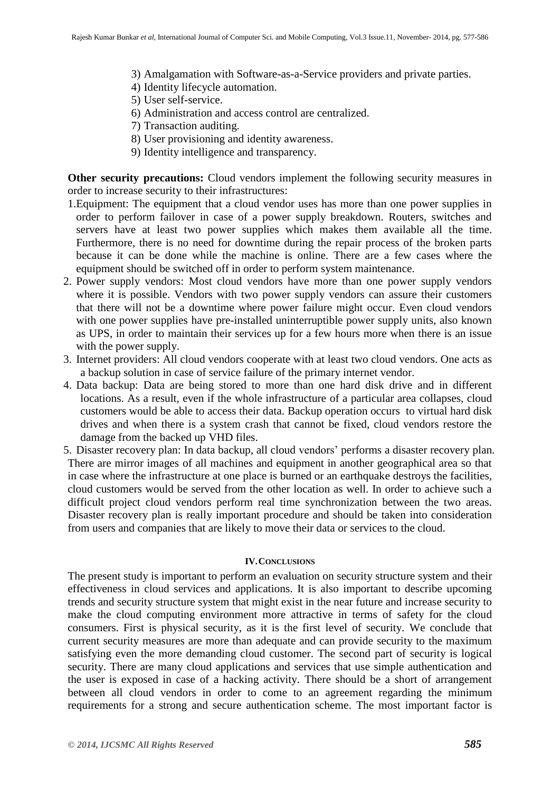- 3) Amalgamation with Software-as-a-Service providers and private parties.
- 4) Identity lifecycle automation.
- 5) User self-service.
- 6) Administration and access control are centralized.
- 7) Transaction auditing.
- 8) User provisioning and identity awareness.
- 9) Identity intelligence and transparency.

**Other security precautions:** Cloud vendors implement the following security measures in order to increase security to their infrastructures:

- 1.Equipment: The equipment that a cloud vendor uses has more than one power supplies in order to perform failover in case of a power supply breakdown. Routers, switches and servers have at least two power supplies which makes them available all the time. Furthermore, there is no need for downtime during the repair process of the broken parts because it can be done while the machine is online. There are a few cases where the equipment should be switched off in order to perform system maintenance.
- 2. Power supply vendors: Most cloud vendors have more than one power supply vendors where it is possible. Vendors with two power supply vendors can assure their customers that there will not be a downtime where power failure might occur. Even cloud vendors with one power supplies have pre-installed uninterruptible power supply units, also known as UPS, in order to maintain their services up for a few hours more when there is an issue with the power supply.
- 3. Internet providers: All cloud vendors cooperate with at least two cloud vendors. One acts as a backup solution in case of service failure of the primary internet vendor.
- 4. Data backup: Data are being stored to more than one hard disk drive and in different locations. As a result, even if the whole infrastructure of a particular area collapses, cloud customers would be able to access their data. Backup operation occurs to virtual hard disk drives and when there is a system crash that cannot be fixed, cloud vendors restore the damage from the backed up VHD files.
- 5. Disaster recovery plan: In data backup, all cloud vendors' performs a disaster recovery plan. There are mirror images of all machines and equipment in another geographical area so that in case where the infrastructure at one place is burned or an earthquake destroys the facilities, cloud customers would be served from the other location as well. In order to achieve such a difficult project cloud vendors perform real time synchronization between the two areas. Disaster recovery plan is really important procedure and should be taken into consideration from users and companies that are likely to move their data or services to the cloud.

#### **IV.CONCLUSIONS**

The present study is important to perform an evaluation on security structure system and their effectiveness in cloud services and applications. It is also important to describe upcoming trends and security structure system that might exist in the near future and increase security to make the cloud computing environment more attractive in terms of safety for the cloud consumers. First is physical security, as it is the first level of security. We conclude that current security measures are more than adequate and can provide security to the maximum satisfying even the more demanding cloud customer. The second part of security is logical security. There are many cloud applications and services that use simple authentication and the user is exposed in case of a hacking activity. There should be a short of arrangement between all cloud vendors in order to come to an agreement regarding the minimum requirements for a strong and secure authentication scheme. The most important factor is